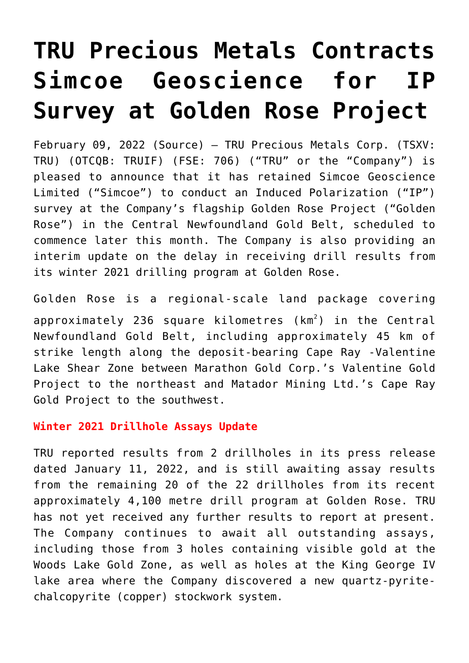# **[TRU Precious Metals Contracts](https://investorintel.com/markets/gold-silver-base-metals/gold-precious-metals-news/tru-precious-metals-contracts-simcoe-geoscience-for-ip-survey-at-golden-rose-project/) [Simcoe Geoscience for IP](https://investorintel.com/markets/gold-silver-base-metals/gold-precious-metals-news/tru-precious-metals-contracts-simcoe-geoscience-for-ip-survey-at-golden-rose-project/) [Survey at Golden Rose Project](https://investorintel.com/markets/gold-silver-base-metals/gold-precious-metals-news/tru-precious-metals-contracts-simcoe-geoscience-for-ip-survey-at-golden-rose-project/)**

February 09, 2022 ([Source](https://www.newsfilecorp.com/release/113228)) — TRU Precious Metals Corp. (TSXV: TRU) (OTCQB: TRUIF) (FSE: 706) ("TRU" or the "Company") is pleased to announce that it has retained Simcoe Geoscience Limited ("Simcoe") to conduct an Induced Polarization ("IP") survey at the Company's flagship Golden Rose Project ("Golden Rose") in the Central Newfoundland Gold Belt, scheduled to commence later this month. The Company is also providing an interim update on the delay in receiving drill results from its winter 2021 drilling program at Golden Rose.

Golden Rose is a regional-scale land package covering approximately 236 square kilometres (km<sup>2</sup>) in the Central Newfoundland Gold Belt, including approximately 45 km of strike length along the deposit-bearing Cape Ray -Valentine Lake Shear Zone between Marathon Gold Corp.'s Valentine Gold Project to the northeast and Matador Mining Ltd.'s Cape Ray Gold Project to the southwest.

## **Winter 2021 Drillhole Assays Update**

TRU reported results from 2 drillholes in its press release dated January 11, 2022, and is still awaiting assay results from the remaining 20 of the 22 drillholes from its recent approximately 4,100 metre drill program at Golden Rose. TRU has not yet received any further results to report at present. The Company continues to await all outstanding assays, including those from 3 holes containing visible gold at the Woods Lake Gold Zone, as well as holes at the King George IV lake area where the Company discovered a new quartz-pyritechalcopyrite (copper) stockwork system.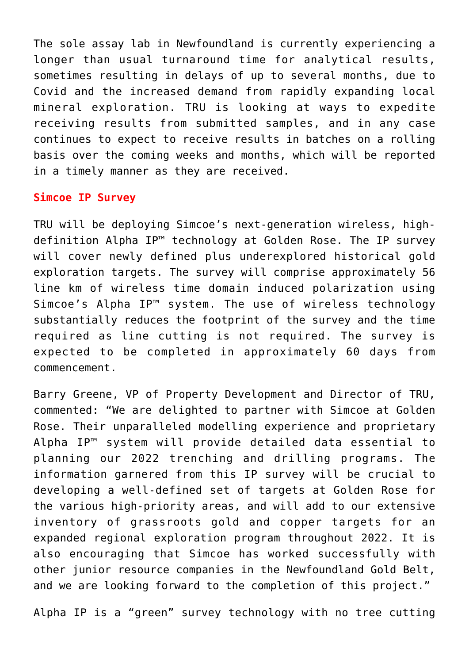The sole assay lab in Newfoundland is currently experiencing a longer than usual turnaround time for analytical results, sometimes resulting in delays of up to several months, due to Covid and the increased demand from rapidly expanding local mineral exploration. TRU is looking at ways to expedite receiving results from submitted samples, and in any case continues to expect to receive results in batches on a rolling basis over the coming weeks and months, which will be reported in a timely manner as they are received.

## **Simcoe IP Survey**

TRU will be deploying Simcoe's next-generation wireless, highdefinition Alpha IP™ technology at Golden Rose. The IP survey will cover newly defined plus underexplored historical gold exploration targets. The survey will comprise approximately 56 line km of wireless time domain induced polarization using Simcoe's Alpha IP™ system. The use of wireless technology substantially reduces the footprint of the survey and the time required as line cutting is not required. The survey is expected to be completed in approximately 60 days from commencement.

Barry Greene, VP of Property Development and Director of TRU, commented: "We are delighted to partner with Simcoe at Golden Rose. Their unparalleled modelling experience and proprietary Alpha IP™ system will provide detailed data essential to planning our 2022 trenching and drilling programs. The information garnered from this IP survey will be crucial to developing a well-defined set of targets at Golden Rose for the various high-priority areas, and will add to our extensive inventory of grassroots gold and copper targets for an expanded regional exploration program throughout 2022. It is also encouraging that Simcoe has worked successfully with other junior resource companies in the Newfoundland Gold Belt, and we are looking forward to the completion of this project."

Alpha IP is a "green" survey technology with no tree cutting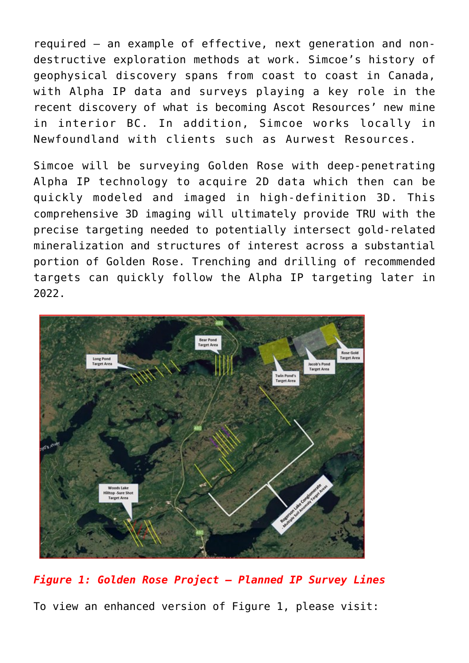required – an example of effective, next generation and nondestructive exploration methods at work. Simcoe's history of geophysical discovery spans from coast to coast in Canada, with Alpha IP data and surveys playing a key role in the recent discovery of what is becoming Ascot Resources' new mine in interior BC. In addition, Simcoe works locally in Newfoundland with clients such as Aurwest Resources.

Simcoe will be surveying Golden Rose with deep-penetrating Alpha IP technology to acquire 2D data which then can be quickly modeled and imaged in high-definition 3D. This comprehensive 3D imaging will ultimately provide TRU with the precise targeting needed to potentially intersect gold-related mineralization and structures of interest across a substantial portion of Golden Rose. Trenching and drilling of recommended targets can quickly follow the Alpha IP targeting later in 2022.



*Figure 1: Golden Rose Project – Planned IP Survey Lines* To view an enhanced version of Figure 1, please visit: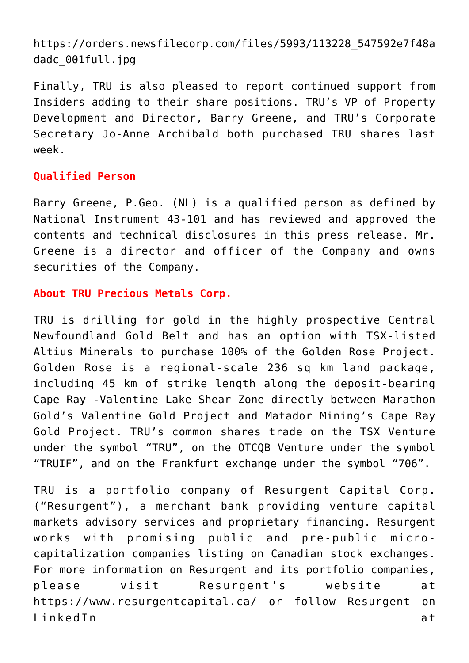[https://orders.newsfilecorp.com/files/5993/113228\\_547592e7f48a](https://orders.newsfilecorp.com/files/5993/113228_547592e7f48adadc_001full.jpg) [dadc\\_001full.jpg](https://orders.newsfilecorp.com/files/5993/113228_547592e7f48adadc_001full.jpg)

Finally, TRU is also pleased to report continued support from Insiders adding to their share positions. TRU's VP of Property Development and Director, Barry Greene, and TRU's Corporate Secretary Jo-Anne Archibald both purchased TRU shares last week.

## **Qualified Person**

Barry Greene, P.Geo. (NL) is a qualified person as defined by National Instrument 43-101 and has reviewed and approved the contents and technical disclosures in this press release. Mr. Greene is a director and officer of the Company and owns securities of the Company.

## **About TRU Precious Metals Corp.**

TRU is drilling for gold in the highly prospective Central Newfoundland Gold Belt and has an option with TSX-listed Altius Minerals to purchase 100% of the Golden Rose Project. Golden Rose is a regional-scale 236 sq km land package, including 45 km of strike length along the deposit-bearing Cape Ray -Valentine Lake Shear Zone directly between Marathon Gold's Valentine Gold Project and Matador Mining's Cape Ray Gold Project. TRU's common shares trade on the TSX Venture under the symbol "TRU", on the OTCQB Venture under the symbol "TRUIF", and on the Frankfurt exchange under the symbol "706".

TRU is a portfolio company of Resurgent Capital Corp. ("Resurgent"), a merchant bank providing venture capital markets advisory services and proprietary financing. Resurgent works with promising public and pre-public microcapitalization companies listing on Canadian stock exchanges. For more information on Resurgent and its portfolio companies, please visit Resurgent's website at [https://www.resurgentcapital.ca/](https://www.newsfilecorp.com/redirect/RVRrktkppN) or follow Resurgent on LinkedIn at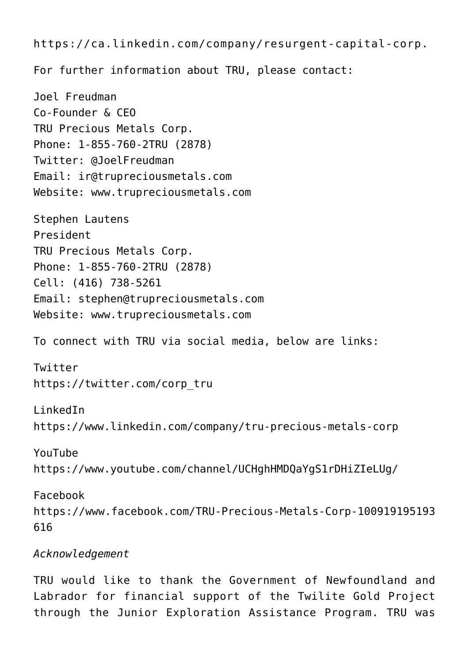[https://ca.linkedin.com/company/resurgent-capital-corp](https://www.newsfilecorp.com/redirect/WrRv3Swjjg). For further information about TRU, please contact: Joel Freudman Co-Founder & CEO TRU Precious Metals Corp. Phone: 1-855-760-2TRU (2878) Twitter: @JoelFreudman Email: [ir@trupreciousmetals.com](mailto:ir@trupreciousmetals.com) Website: [www.trupreciousmetals.com](https://www.newsfilecorp.com/redirect/q3KkeIo22E) Stephen Lautens President TRU Precious Metals Corp. Phone: 1-855-760-2TRU (2878) Cell: (416) 738-5261 Email: [stephen@trupreciousmetals.com](mailto:stephen@trupreciousmetals.com) Website: [www.trupreciousmetals.com](https://www.newsfilecorp.com/redirect/nv1GetPOOx) To connect with TRU via social media, below are links: Twitter [https://twitter.com/corp\\_tru](https://www.newsfilecorp.com/redirect/KJxM4IXRR1) LinkedIn [https://www.linkedin.com/company/tru-precious-metals-corp](https://www.newsfilecorp.com/redirect/Er51NSWyyG) YouTube [https://www.youtube.com/channel/UCHghHMDQaYgS1rDHiZIeLUg/](https://www.newsfilecorp.com/redirect/xOKwxhoxxE) Facebook [https://www.facebook.com/TRU-Precious-Metals-Corp-100919195193](https://www.newsfilecorp.com/redirect/7eX8ohqaay) [616](https://www.newsfilecorp.com/redirect/7eX8ohqaay) *Acknowledgement*

TRU would like to thank the Government of Newfoundland and Labrador for financial support of the Twilite Gold Project through the Junior Exploration Assistance Program. TRU was